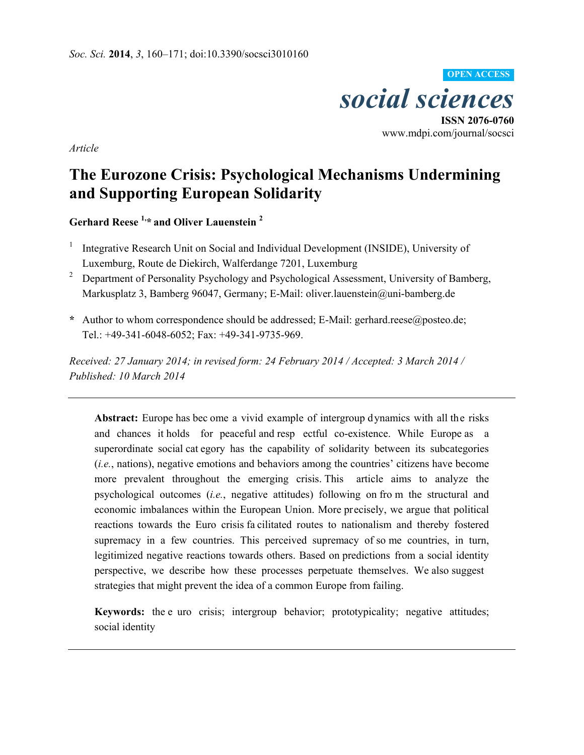

*Article* 

# **The Eurozone Crisis: Psychological Mechanisms Undermining and Supporting European Solidarity**

**Gerhard Reese 1,\* and Oliver Lauenstein <sup>2</sup>**

- 1 Integrative Research Unit on Social and Individual Development (INSIDE), University of Luxemburg, Route de Diekirch, Walferdange 7201, Luxemburg
- <sup>2</sup> Department of Personality Psychology and Psychological Assessment, University of Bamberg, Markusplatz 3, Bamberg 96047, Germany; E-Mail: oliver.lauenstein@uni-bamberg.de
- **\*** Author to whom correspondence should be addressed; E-Mail: gerhard.reese@posteo.de; Tel.: +49-341-6048-6052; Fax: +49-341-9735-969.

*Received: 27 January 2014; in revised form: 24 February 2014 / Accepted: 3 March 2014 / Published: 10 March 2014* 

**Abstract:** Europe has bec ome a vivid example of intergroup dynamics with all the risks and chances it holds for peaceful and resp ectful co-existence. While Europe as a superordinate social cat egory has the capability of solidarity between its subcategories (*i.e.*, nations), negative emotions and behaviors among the countries' citizens have become more prevalent throughout the emerging crisis. This article aims to analyze the psychological outcomes (*i.e.*, negative attitudes) following on fro m the structural and economic imbalances within the European Union. More precisely, we argue that political reactions towards the Euro crisis fa cilitated routes to nationalism and thereby fostered supremacy in a few countries. This perceived supremacy of so me countries, in turn, legitimized negative reactions towards others. Based on predictions from a social identity perspective, we describe how these processes perpetuate themselves. We also suggest strategies that might prevent the idea of a common Europe from failing.

**Keywords:** the e uro crisis; intergroup behavior; prototypicality; negative attitudes; social identity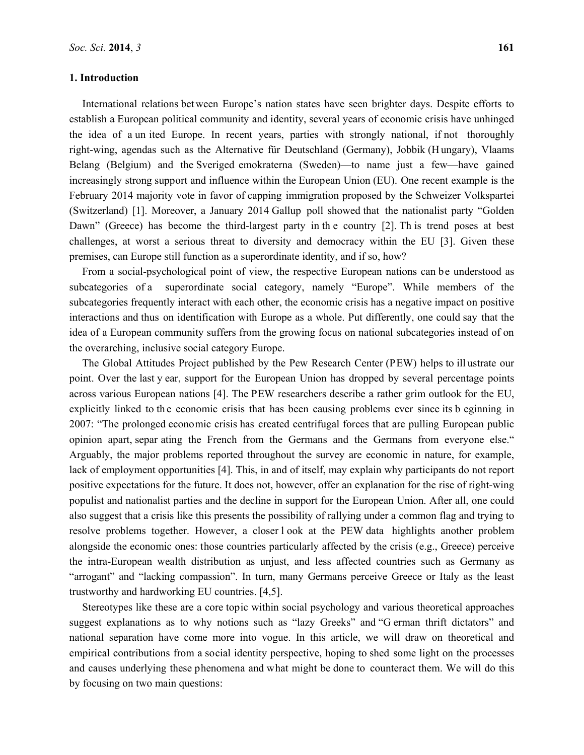### **1. Introduction**

International relations bet ween Europe's nation states have seen brighter days. Despite efforts to establish a European political community and identity, several years of economic crisis have unhinged the idea of a un ited Europe. In recent years, parties with strongly national, if not thoroughly right-wing, agendas such as the Alternative für Deutschland (Germany), Jobbik (H ungary), Vlaams Belang (Belgium) and the Sveriged emokraterna (Sweden)—to name just a few—have gained increasingly strong support and influence within the European Union (EU). One recent example is the February 2014 majority vote in favor of capping immigration proposed by the Schweizer Volkspartei (Switzerland) [1]. Moreover, a January 2014 Gallup poll showed that the nationalist party "Golden Dawn" (Greece) has become the third-largest party in the country [2]. This trend poses at best challenges, at worst a serious threat to diversity and democracy within the EU [3]. Given these premises, can Europe still function as a superordinate identity, and if so, how?

From a social-psychological point of view, the respective European nations can be understood as subcategories of a superordinate social category, namely "Europe". While members of the subcategories frequently interact with each other, the economic crisis has a negative impact on positive interactions and thus on identification with Europe as a whole. Put differently, one could say that the idea of a European community suffers from the growing focus on national subcategories instead of on the overarching, inclusive social category Europe.

The Global Attitudes Project published by the Pew Research Center (PEW) helps to ill ustrate our point. Over the last y ear, support for the European Union has dropped by several percentage points across various European nations [4]. The PEW researchers describe a rather grim outlook for the EU, explicitly linked to th e economic crisis that has been causing problems ever since its b eginning in 2007: "The prolonged economic crisis has created centrifugal forces that are pulling European public opinion apart, separ ating the French from the Germans and the Germans from everyone else." Arguably, the major problems reported throughout the survey are economic in nature, for example, lack of employment opportunities [4]. This, in and of itself, may explain why participants do not report positive expectations for the future. It does not, however, offer an explanation for the rise of right-wing populist and nationalist parties and the decline in support for the European Union. After all, one could also suggest that a crisis like this presents the possibility of rallying under a common flag and trying to resolve problems together. However, a closer l ook at the PEW data highlights another problem alongside the economic ones: those countries particularly affected by the crisis (e.g., Greece) perceive the intra-European wealth distribution as unjust, and less affected countries such as Germany as "arrogant" and "lacking compassion". In turn, many Germans perceive Greece or Italy as the least trustworthy and hardworking EU countries. [4,5].

Stereotypes like these are a core topic within social psychology and various theoretical approaches suggest explanations as to why notions such as "lazy Greeks" and "G erman thrift dictators" and national separation have come more into vogue. In this article, we will draw on theoretical and empirical contributions from a social identity perspective, hoping to shed some light on the processes and causes underlying these phenomena and what might be done to counteract them. We will do this by focusing on two main questions: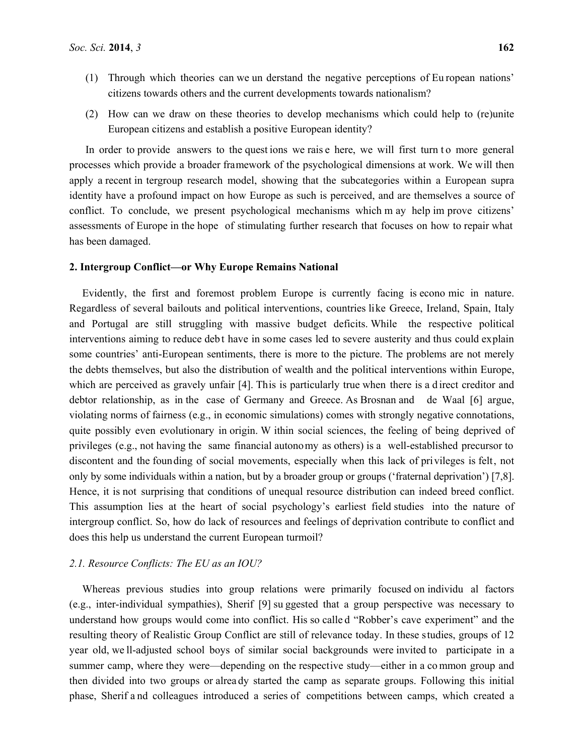- (1) Through which theories can we un derstand the negative perceptions of Eu ropean nations' citizens towards others and the current developments towards nationalism?
- (2) How can we draw on these theories to develop mechanisms which could help to (re)unite European citizens and establish a positive European identity?

In order to provide answers to the quest ions we rais e here, we will first turn to more general processes which provide a broader framework of the psychological dimensions at work. We will then apply a recent in tergroup research model, showing that the subcategories within a European supra identity have a profound impact on how Europe as such is perceived, and are themselves a source of conflict. To conclude, we present psychological mechanisms which m ay help im prove citizens' assessments of Europe in the hope of stimulating further research that focuses on how to repair what has been damaged.

# **2. Intergroup Conflict—or Why Europe Remains National**

Evidently, the first and foremost problem Europe is currently facing is econo mic in nature. Regardless of several bailouts and political interventions, countries like Greece, Ireland, Spain, Italy and Portugal are still struggling with massive budget deficits. While the respective political interventions aiming to reduce deb t have in some cases led to severe austerity and thus could explain some countries' anti-European sentiments, there is more to the picture. The problems are not merely the debts themselves, but also the distribution of wealth and the political interventions within Europe, which are perceived as gravely unfair [4]. This is particularly true when there is a direct creditor and debtor relationship, as in the case of Germany and Greece. As Brosnan and de Waal [6] argue, violating norms of fairness (e.g., in economic simulations) comes with strongly negative connotations, quite possibly even evolutionary in origin. W ithin social sciences, the feeling of being deprived of privileges (e.g., not having the same financial autonomy as others) is a well-established precursor to discontent and the founding of social movements, especially when this lack of privileges is felt, not only by some individuals within a nation, but by a broader group or groups ('fraternal deprivation') [7,8]. Hence, it is not surprising that conditions of unequal resource distribution can indeed breed conflict. This assumption lies at the heart of social psychology's earliest field studies into the nature of intergroup conflict. So, how do lack of resources and feelings of deprivation contribute to conflict and does this help us understand the current European turmoil?

## *2.1. Resource Conflicts: The EU as an IOU?*

Whereas previous studies into group relations were primarily focused on individu al factors (e.g., inter-individual sympathies), Sherif [9] su ggested that a group perspective was necessary to understand how groups would come into conflict. His so calle d "Robber's cave experiment" and the resulting theory of Realistic Group Conflict are still of relevance today. In these studies, groups of 12 year old, we ll-adjusted school boys of similar social backgrounds were invited to participate in a summer camp, where they were—depending on the respective study—either in a co mmon group and then divided into two groups or alrea dy started the camp as separate groups. Following this initial phase, Sherif a nd colleagues introduced a series of competitions between camps, which created a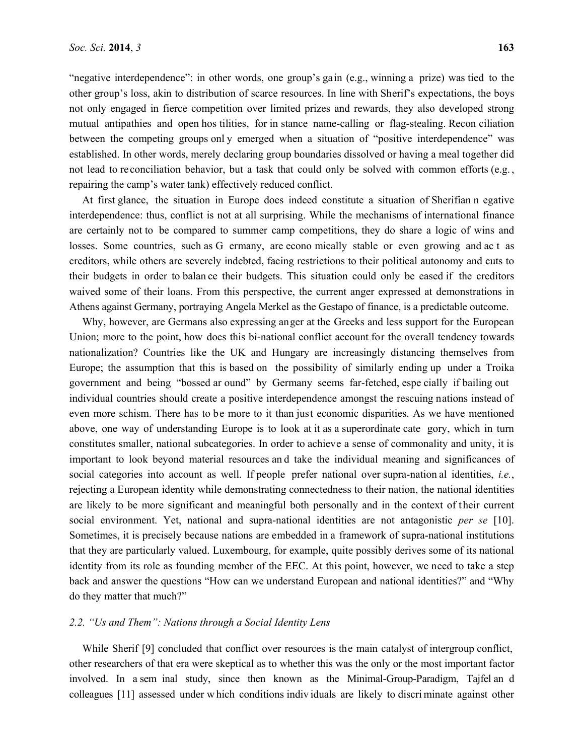"negative interdependence": in other words, one group's gain (e.g., winning a prize) was tied to the other group's loss, akin to distribution of scarce resources. In line with Sherif's expectations, the boys not only engaged in fierce competition over limited prizes and rewards, they also developed strong mutual antipathies and open hos tilities, for in stance name-calling or flag-stealing. Recon ciliation between the competing groups onl y emerged when a situation of "positive interdependence" was established. In other words, merely declaring group boundaries dissolved or having a meal together did not lead to reconciliation behavior, but a task that could only be solved with common efforts (e.g., repairing the camp's water tank) effectively reduced conflict.

At first glance, the situation in Europe does indeed constitute a situation of Sherifian n egative interdependence: thus, conflict is not at all surprising. While the mechanisms of international finance are certainly not to be compared to summer camp competitions, they do share a logic of wins and losses. Some countries, such as G ermany, are econo mically stable or even growing and ac t as creditors, while others are severely indebted, facing restrictions to their political autonomy and cuts to their budgets in order to balan ce their budgets. This situation could only be eased if the creditors waived some of their loans. From this perspective, the current anger expressed at demonstrations in Athens against Germany, portraying Angela Merkel as the Gestapo of finance, is a predictable outcome.

Why, however, are Germans also expressing anger at the Greeks and less support for the European Union; more to the point, how does this bi-national conflict account for the overall tendency towards nationalization? Countries like the UK and Hungary are increasingly distancing themselves from Europe; the assumption that this is based on the possibility of similarly ending up under a Troika government and being "bossed ar ound" by Germany seems far-fetched, espe cially if bailing out individual countries should create a positive interdependence amongst the rescuing nations instead of even more schism. There has to be more to it than just economic disparities. As we have mentioned above, one way of understanding Europe is to look at it as a superordinate cate gory, which in turn constitutes smaller, national subcategories. In order to achieve a sense of commonality and unity, it is important to look beyond material resources an d take the individual meaning and significances of social categories into account as well. If people prefer national over supra-nation al identities, *i.e.*, rejecting a European identity while demonstrating connectedness to their nation, the national identities are likely to be more significant and meaningful both personally and in the context of their current social environment. Yet, national and supra-national identities are not antagonistic *per se* [10]. Sometimes, it is precisely because nations are embedded in a framework of supra-national institutions that they are particularly valued. Luxembourg, for example, quite possibly derives some of its national identity from its role as founding member of the EEC. At this point, however, we need to take a step back and answer the questions "How can we understand European and national identities?" and "Why do they matter that much?"

#### *2.2. "Us and Them": Nations through a Social Identity Lens*

While Sherif [9] concluded that conflict over resources is the main catalyst of intergroup conflict, other researchers of that era were skeptical as to whether this was the only or the most important factor involved. In a sem inal study, since then known as the Minimal-Group-Paradigm, Tajfel an d colleagues [11] assessed under w hich conditions indiv iduals are likely to discri minate against other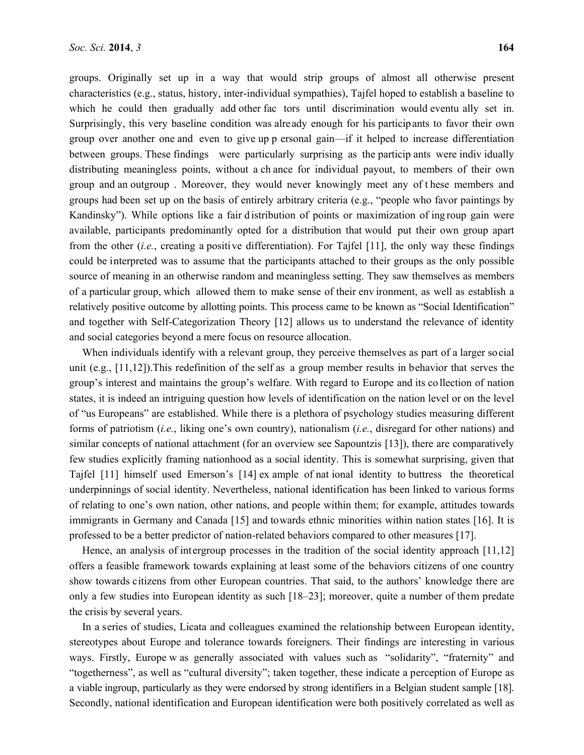groups. Originally set up in a way that would strip groups of almost all otherwise present characteristics (e.g., status, history, inter-individual sympathies), Tajfel hoped to establish a baseline to which he could then gradually add other fac tors until discrimination would eventu ally set in. Surprisingly, this very baseline condition was already enough for his participants to favor their own group over another one and even to give up p ersonal gain—if it helped to increase differentiation between groups. These findings were particularly surprising as the particip ants were indiv idually distributing meaningless points, without a ch ance for individual payout, to members of their own group and an outgroup . Moreover, they would never knowingly meet any of t hese members and groups had been set up on the basis of entirely arbitrary criteria (e.g., "people who favor paintings by Kandinsky"). While options like a fair d istribution of points or maximization of ing roup gain were available, participants predominantly opted for a distribution that would put their own group apart from the other (*i.e.*, creating a positive differentiation). For Tajfel [11], the only way these findings could be interpreted was to assume that the participants attached to their groups as the only possible source of meaning in an otherwise random and meaningless setting. They saw themselves as members of a particular group, which allowed them to make sense of their env ironment, as well as establish a relatively positive outcome by allotting points. This process came to be known as "Social Identification" and together with Self-Categorization Theory [12] allows us to understand the relevance of identity and social categories beyond a mere focus on resource allocation.

When individuals identify with a relevant group, they perceive themselves as part of a larger social unit (e.g., [11,12]).This redefinition of the self as a group member results in behavior that serves the group's interest and maintains the group's welfare. With regard to Europe and its collection of nation states, it is indeed an intriguing question how levels of identification on the nation level or on the level of "us Europeans" are established. While there is a plethora of psychology studies measuring different forms of patriotism (*i.e.*, liking one's own country), nationalism (*i.e.*, disregard for other nations) and similar concepts of national attachment (for an overview see Sapountzis [13]), there are comparatively few studies explicitly framing nationhood as a social identity. This is somewhat surprising, given that Tajfel [11] himself used Emerson's [14] ex ample of nat ional identity to buttress the theoretical underpinnings of social identity. Nevertheless, national identification has been linked to various forms of relating to one's own nation, other nations, and people within them; for example, attitudes towards immigrants in Germany and Canada [15] and towards ethnic minorities within nation states [16]. It is professed to be a better predictor of nation-related behaviors compared to other measures [17].

Hence, an analysis of intergroup processes in the tradition of the social identity approach [11,12] offers a feasible framework towards explaining at least some of the behaviors citizens of one country show towards citizens from other European countries. That said, to the authors' knowledge there are only a few studies into European identity as such [18–23]; moreover, quite a number of them predate the crisis by several years.

In a series of studies, Licata and colleagues examined the relationship between European identity, stereotypes about Europe and tolerance towards foreigners. Their findings are interesting in various ways. Firstly, Europe w as generally associated with values such as "solidarity", "fraternity" and "togetherness", as well as "cultural diversity"; taken together, these indicate a perception of Europe as a viable ingroup, particularly as they were endorsed by strong identifiers in a Belgian student sample [18]. Secondly, national identification and European identification were both positively correlated as well as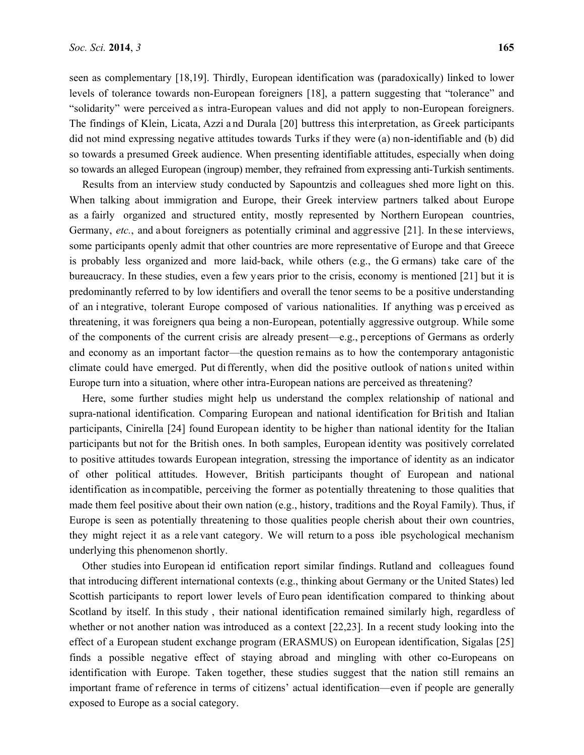seen as complementary [18,19]. Thirdly, European identification was (paradoxically) linked to lower levels of tolerance towards non-European foreigners [18], a pattern suggesting that "tolerance" and "solidarity" were perceived as intra-European values and did not apply to non-European foreigners. The findings of Klein, Licata, Azzi a nd Durala [20] buttress this interpretation, as Greek participants did not mind expressing negative attitudes towards Turks if they were (a) non-identifiable and (b) did so towards a presumed Greek audience. When presenting identifiable attitudes, especially when doing so towards an alleged European (ingroup) member, they refrained from expressing anti-Turkish sentiments.

Results from an interview study conducted by Sapountzis and colleagues shed more light on this. When talking about immigration and Europe, their Greek interview partners talked about Europe as a fairly organized and structured entity, mostly represented by Northern European countries, Germany, *etc.*, and about foreigners as potentially criminal and aggressive [21]. In these interviews, some participants openly admit that other countries are more representative of Europe and that Greece is probably less organized and more laid-back, while others (e.g., the G ermans) take care of the bureaucracy. In these studies, even a few years prior to the crisis, economy is mentioned [21] but it is predominantly referred to by low identifiers and overall the tenor seems to be a positive understanding of an i ntegrative, tolerant Europe composed of various nationalities. If anything was p erceived as threatening, it was foreigners qua being a non-European, potentially aggressive outgroup. While some of the components of the current crisis are already present—e.g., perceptions of Germans as orderly and economy as an important factor—the question remains as to how the contemporary antagonistic climate could have emerged. Put differently, when did the positive outlook of nations united within Europe turn into a situation, where other intra-European nations are perceived as threatening?

Here, some further studies might help us understand the complex relationship of national and supra-national identification. Comparing European and national identification for Bri tish and Italian participants, Cinirella [24] found European identity to be higher than national identity for the Italian participants but not for the British ones. In both samples, European identity was positively correlated to positive attitudes towards European integration, stressing the importance of identity as an indicator of other political attitudes. However, British participants thought of European and national identification as incompatible, perceiving the former as potentially threatening to those qualities that made them feel positive about their own nation (e.g., history, traditions and the Royal Family). Thus, if Europe is seen as potentially threatening to those qualities people cherish about their own countries, they might reject it as a rele vant category. We will return to a poss ible psychological mechanism underlying this phenomenon shortly.

Other studies into European id entification report similar findings. Rutland and colleagues found that introducing different international contexts (e.g., thinking about Germany or the United States) led Scottish participants to report lower levels of Euro pean identification compared to thinking about Scotland by itself. In this study , their national identification remained similarly high, regardless of whether or not another nation was introduced as a context [22,23]. In a recent study looking into the effect of a European student exchange program (ERASMUS) on European identification, Sigalas [25] finds a possible negative effect of staying abroad and mingling with other co-Europeans on identification with Europe. Taken together, these studies suggest that the nation still remains an important frame of reference in terms of citizens' actual identification—even if people are generally exposed to Europe as a social category.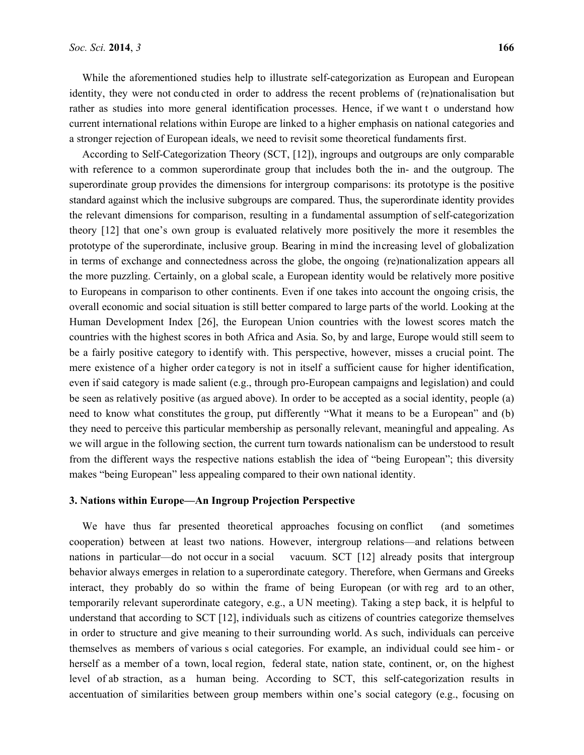While the aforementioned studies help to illustrate self-categorization as European and European identity, they were not condu cted in order to address the recent problems of (re)nationalisation but rather as studies into more general identification processes. Hence, if we want t o understand how current international relations within Europe are linked to a higher emphasis on national categories and a stronger rejection of European ideals, we need to revisit some theoretical fundaments first.

According to Self-Categorization Theory (SCT, [12]), ingroups and outgroups are only comparable with reference to a common superordinate group that includes both the in- and the outgroup. The superordinate group provides the dimensions for intergroup comparisons: its prototype is the positive standard against which the inclusive subgroups are compared. Thus, the superordinate identity provides the relevant dimensions for comparison, resulting in a fundamental assumption of self-categorization theory [12] that one's own group is evaluated relatively more positively the more it resembles the prototype of the superordinate, inclusive group. Bearing in mind the increasing level of globalization in terms of exchange and connectedness across the globe, the ongoing (re)nationalization appears all the more puzzling. Certainly, on a global scale, a European identity would be relatively more positive to Europeans in comparison to other continents. Even if one takes into account the ongoing crisis, the overall economic and social situation is still better compared to large parts of the world. Looking at the Human Development Index [26], the European Union countries with the lowest scores match the countries with the highest scores in both Africa and Asia. So, by and large, Europe would still seem to be a fairly positive category to identify with. This perspective, however, misses a crucial point. The mere existence of a higher order ca tegory is not in itself a sufficient cause for higher identification, even if said category is made salient (e.g., through pro-European campaigns and legislation) and could be seen as relatively positive (as argued above). In order to be accepted as a social identity, people (a) need to know what constitutes the group, put differently "What it means to be a European" and (b) they need to perceive this particular membership as personally relevant, meaningful and appealing. As we will argue in the following section, the current turn towards nationalism can be understood to result from the different ways the respective nations establish the idea of "being European"; this diversity makes "being European" less appealing compared to their own national identity.

# **3. Nations within Europe—An Ingroup Projection Perspective**

We have thus far presented theoretical approaches focusing on conflict (and sometimes cooperation) between at least two nations. However, intergroup relations—and relations between nations in particular—do not occur in a social vacuum. SCT [12] already posits that intergroup behavior always emerges in relation to a superordinate category. Therefore, when Germans and Greeks interact, they probably do so within the frame of being European (or with reg ard to an other, temporarily relevant superordinate category, e.g., a UN meeting). Taking a step back, it is helpful to understand that according to SCT [12], individuals such as citizens of countries categorize themselves in order to structure and give meaning to their surrounding world. As such, individuals can perceive themselves as members of various s ocial categories. For example, an individual could see him - or herself as a member of a town, local region, federal state, nation state, continent, or, on the highest level of ab straction, as a human being. According to SCT, this self-categorization results in accentuation of similarities between group members within one's social category (e.g., focusing on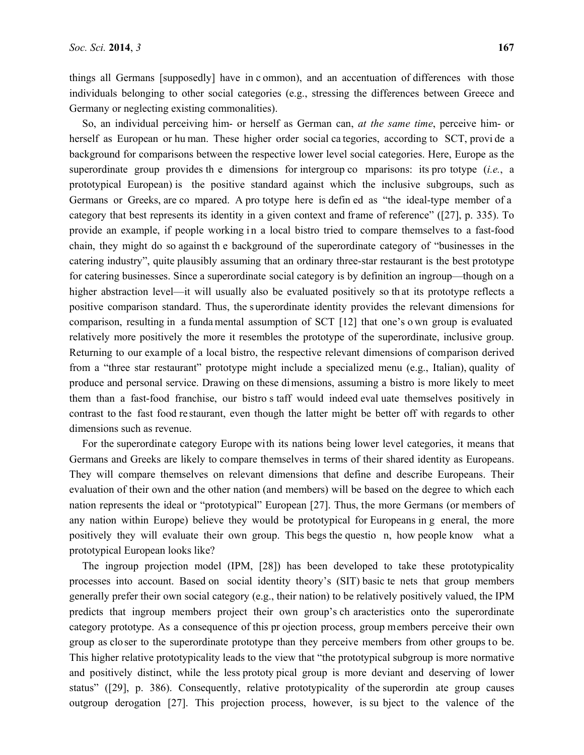things all Germans [supposedly] have in c ommon), and an accentuation of differences with those individuals belonging to other social categories (e.g., stressing the differences between Greece and Germany or neglecting existing commonalities).

So, an individual perceiving him- or herself as German can, *at the same time*, perceive him- or herself as European or hu man. These higher order social ca tegories, according to SCT, provi de a background for comparisons between the respective lower level social categories. Here, Europe as the superordinate group provides th e dimensions for intergroup co mparisons: its pro totype (*i.e.*, a prototypical European) is the positive standard against which the inclusive subgroups, such as Germans or Greeks, are co mpared. A pro totype here is defin ed as "the ideal-type member of a category that best represents its identity in a given context and frame of reference" ([27], p. 335). To provide an example, if people working in a local bistro tried to compare themselves to a fast-food chain, they might do so against th e background of the superordinate category of "businesses in the catering industry", quite plausibly assuming that an ordinary three-star restaurant is the best prototype for catering businesses. Since a superordinate social category is by definition an ingroup—though on a higher abstraction level—it will usually also be evaluated positively so that its prototype reflects a positive comparison standard. Thus, the s uperordinate identity provides the relevant dimensions for comparison, resulting in a funda mental assumption of SCT [12] that one's o wn group is evaluated relatively more positively the more it resembles the prototype of the superordinate, inclusive group. Returning to our example of a local bistro, the respective relevant dimensions of comparison derived from a "three star restaurant" prototype might include a specialized menu (e.g., Italian), quality of produce and personal service. Drawing on these di mensions, assuming a bistro is more likely to meet them than a fast-food franchise, our bistro s taff would indeed eval uate themselves positively in contrast to the fast food re staurant, even though the latter might be better off with regards to other dimensions such as revenue.

For the superordinate category Europe with its nations being lower level categories, it means that Germans and Greeks are likely to compare themselves in terms of their shared identity as Europeans. They will compare themselves on relevant dimensions that define and describe Europeans. Their evaluation of their own and the other nation (and members) will be based on the degree to which each nation represents the ideal or "prototypical" European [27]. Thus, the more Germans (or members of any nation within Europe) believe they would be prototypical for Europeans in g eneral, the more positively they will evaluate their own group. This begs the questio n, how people know what a prototypical European looks like?

The ingroup projection model (IPM, [28]) has been developed to take these prototypicality processes into account. Based on social identity theory's (SIT) basic te nets that group members generally prefer their own social category (e.g., their nation) to be relatively positively valued, the IPM predicts that ingroup members project their own group's ch aracteristics onto the superordinate category prototype. As a consequence of this pr ojection process, group members perceive their own group as closer to the superordinate prototype than they perceive members from other groups to be. This higher relative prototypicality leads to the view that "the prototypical subgroup is more normative and positively distinct, while the less prototy pical group is more deviant and deserving of lower status" ([29], p. 386). Consequently, relative prototypicality of the superordin ate group causes outgroup derogation [27]. This projection process, however, is su bject to the valence of the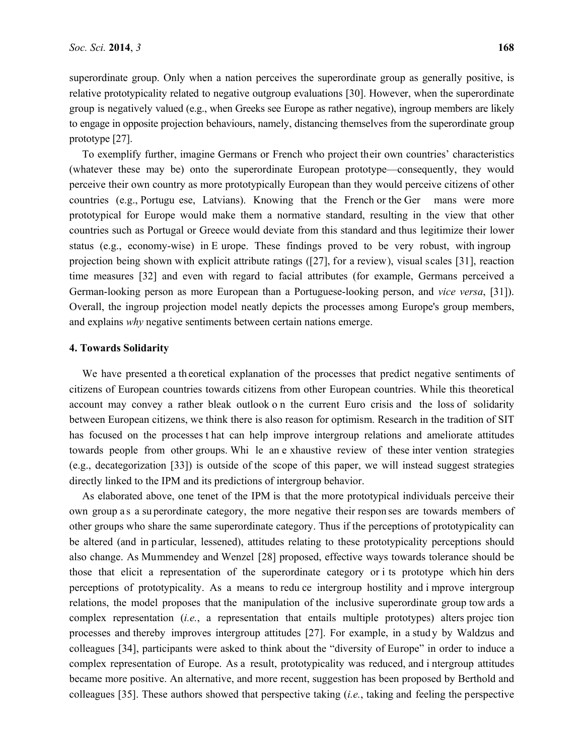superordinate group. Only when a nation perceives the superordinate group as generally positive, is relative prototypicality related to negative outgroup evaluations [30]. However, when the superordinate group is negatively valued (e.g., when Greeks see Europe as rather negative), ingroup members are likely to engage in opposite projection behaviours, namely, distancing themselves from the superordinate group prototype [27].

To exemplify further, imagine Germans or French who project their own countries' characteristics (whatever these may be) onto the superordinate European prototype—consequently, they would perceive their own country as more prototypically European than they would perceive citizens of other countries (e.g., Portugu ese, Latvians). Knowing that the French or the Ger mans were more prototypical for Europe would make them a normative standard, resulting in the view that other countries such as Portugal or Greece would deviate from this standard and thus legitimize their lower status (e.g., economy-wise) in E urope. These findings proved to be very robust, with ingroup projection being shown with explicit attribute ratings ([27], for a review), visual scales [31], reaction time measures [32] and even with regard to facial attributes (for example, Germans perceived a German-looking person as more European than a Portuguese-looking person, and *vice versa*, [31]). Overall, the ingroup projection model neatly depicts the processes among Europe's group members, and explains *why* negative sentiments between certain nations emerge.

#### **4. Towards Solidarity**

We have presented a th eoretical explanation of the processes that predict negative sentiments of citizens of European countries towards citizens from other European countries. While this theoretical account may convey a rather bleak outlook on the current Euro crisis and the loss of solidarity between European citizens, we think there is also reason for optimism. Research in the tradition of SIT has focused on the processes t hat can help improve intergroup relations and ameliorate attitudes towards people from other groups. Whi le an e xhaustive review of these inter vention strategies (e.g., decategorization [33]) is outside of the scope of this paper, we will instead suggest strategies directly linked to the IPM and its predictions of intergroup behavior.

As elaborated above, one tenet of the IPM is that the more prototypical individuals perceive their own group a s a su perordinate category, the more negative their respon ses are towards members of other groups who share the same superordinate category. Thus if the perceptions of prototypicality can be altered (and in p articular, lessened), attitudes relating to these prototypicality perceptions should also change. As Mummendey and Wenzel [28] proposed, effective ways towards tolerance should be those that elicit a representation of the superordinate category or i ts prototype which hin ders perceptions of prototypicality. As a means to redu ce intergroup hostility and i mprove intergroup relations, the model proposes that the manipulation of the inclusive superordinate group tow ards a complex representation (*i.e.*, a representation that entails multiple prototypes) alters projec tion processes and thereby improves intergroup attitudes [27]. For example, in a stud y by Waldzus and colleagues [34], participants were asked to think about the "diversity of Europe" in order to induce a complex representation of Europe. As a result, prototypicality was reduced, and i ntergroup attitudes became more positive. An alternative, and more recent, suggestion has been proposed by Berthold and colleagues [35]. These authors showed that perspective taking (*i.e.*, taking and feeling the perspective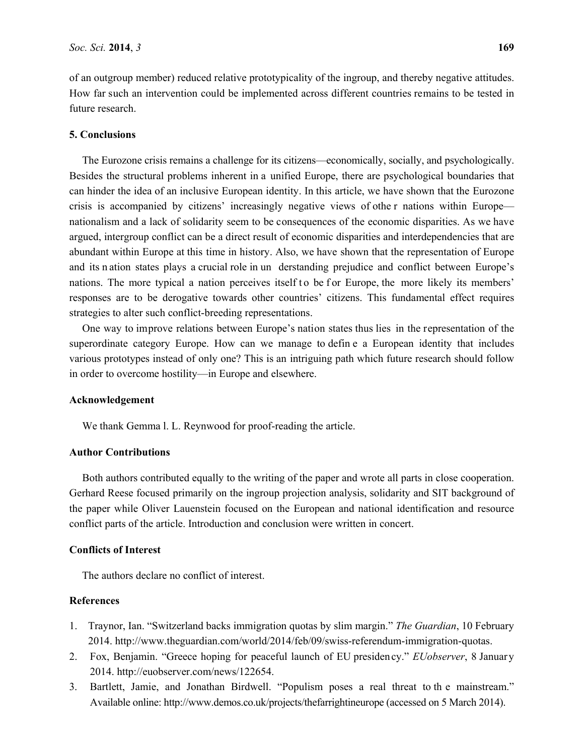of an outgroup member) reduced relative prototypicality of the ingroup, and thereby negative attitudes. How far such an intervention could be implemented across different countries remains to be tested in future research.

#### **5. Conclusions**

The Eurozone crisis remains a challenge for its citizens—economically, socially, and psychologically. Besides the structural problems inherent in a unified Europe, there are psychological boundaries that can hinder the idea of an inclusive European identity. In this article, we have shown that the Eurozone crisis is accompanied by citizens' increasingly negative views of othe r nations within Europe nationalism and a lack of solidarity seem to be consequences of the economic disparities. As we have argued, intergroup conflict can be a direct result of economic disparities and interdependencies that are abundant within Europe at this time in history. Also, we have shown that the representation of Europe and its n ation states plays a crucial role in un derstanding prejudice and conflict between Europe's nations. The more typical a nation perceives itself to be for Europe, the more likely its members' responses are to be derogative towards other countries' citizens. This fundamental effect requires strategies to alter such conflict-breeding representations.

One way to improve relations between Europe's nation states thus lies in the representation of the superordinate category Europe. How can we manage to defin e a European identity that includes various prototypes instead of only one? This is an intriguing path which future research should follow in order to overcome hostility—in Europe and elsewhere.

#### **Acknowledgement**

We thank Gemma l. L. Reynwood for proof-reading the article.

# **Author Contributions**

Both authors contributed equally to the writing of the paper and wrote all parts in close cooperation. Gerhard Reese focused primarily on the ingroup projection analysis, solidarity and SIT background of the paper while Oliver Lauenstein focused on the European and national identification and resource conflict parts of the article. Introduction and conclusion were written in concert.

# **Conflicts of Interest**

The authors declare no conflict of interest.

## **References**

- 1. Traynor, Ian. "Switzerland backs immigration quotas by slim margin." *The Guardian*, 10 February 2014. http://www.theguardian.com/world/2014/feb/09/swiss-referendum-immigration-quotas.
- 2. Fox, Benjamin. "Greece hoping for peaceful launch of EU presidency." *EUobserver*, 8 January 2014. http://euobserver.com/news/122654.
- 3. Bartlett, Jamie, and Jonathan Birdwell. "Populism poses a real threat to th e mainstream." Available online: http://www.demos.co.uk/projects/thefarrightineurope (accessed on 5 March 2014).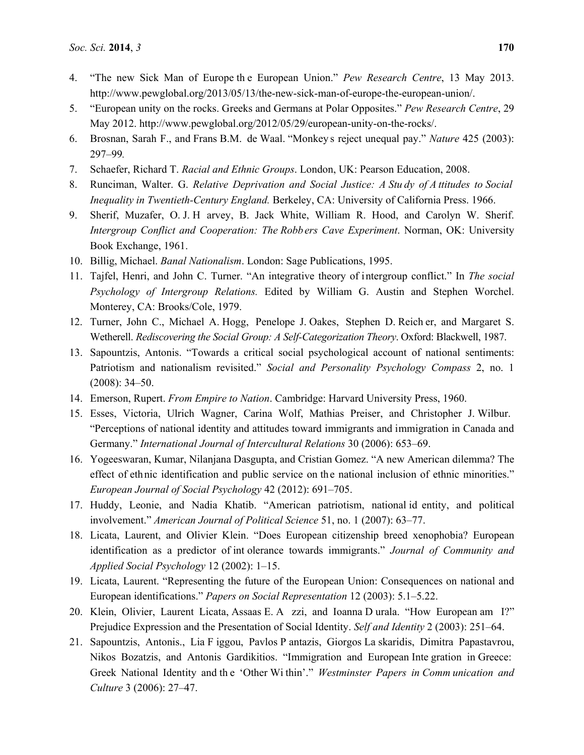- 4. "The new Sick Man of Europe th e European Union." *Pew Research Centre*, 13 May 2013. http://www.pewglobal.org/2013/05/13/the-new-sick-man-of-europe-the-european-union/.
- 5. "European unity on the rocks. Greeks and Germans at Polar Opposites." *Pew Research Centre*, 29 May 2012. http://www.pewglobal.org/2012/05/29/european-unity-on-the-rocks/.
- 6. Brosnan, Sarah F., and Frans B.M. de Waal. "Monkey s reject unequal pay." *Nature* 425 (2003): 297–99*.*
- 7. Schaefer, Richard T. *Racial and Ethnic Groups*. London, UK: Pearson Education, 2008.
- 8. Runciman, Walter. G. *Relative Deprivation and Social Justice: A Stu dy of A ttitudes to Social Inequality in Twentieth-Century England.* Berkeley, CA: University of California Press. 1966.
- 9. Sherif, Muzafer, O. J. H arvey, B. Jack White, William R. Hood, and Carolyn W. Sherif. *Intergroup Conflict and Cooperation: The Robb ers Cave Experiment*. Norman, OK: University Book Exchange, 1961.
- 10. Billig, Michael. *Banal Nationalism*. London: Sage Publications, 1995.
- 11. Tajfel, Henri, and John C. Turner. "An integrative theory of intergroup conflict." In *The social Psychology of Intergroup Relations.* Edited by William G. Austin and Stephen Worchel. Monterey, CA: Brooks/Cole, 1979.
- 12. Turner, John C., Michael A. Hogg, Penelope J. Oakes, Stephen D. Reich er, and Margaret S. Wetherell. *Rediscovering the Social Group: A Self-Categorization Theory*. Oxford: Blackwell, 1987.
- 13. Sapountzis, Antonis. "Towards a critical social psychological account of national sentiments: Patriotism and nationalism revisited." *Social and Personality Psychology Compass* 2, no. 1 (2008): 34–50.
- 14. Emerson, Rupert. *From Empire to Nation*. Cambridge: Harvard University Press, 1960.
- 15. Esses, Victoria, Ulrich Wagner, Carina Wolf, Mathias Preiser, and Christopher J. Wilbur. "Perceptions of national identity and attitudes toward immigrants and immigration in Canada and Germany." *International Journal of Intercultural Relations* 30 (2006): 653–69.
- 16. Yogeeswaran, Kumar, Nilanjana Dasgupta, and Cristian Gomez. "A new American dilemma? The effect of ethnic identification and public service on the national inclusion of ethnic minorities." *European Journal of Social Psychology* 42 (2012): 691–705.
- 17. Huddy, Leonie, and Nadia Khatib. "American patriotism, national id entity, and political involvement." *American Journal of Political Science* 51, no. 1 (2007): 63–77.
- 18. Licata, Laurent, and Olivier Klein. "Does European citizenship breed xenophobia? European identification as a predictor of int olerance towards immigrants." *Journal of Community and Applied Social Psychology* 12 (2002): 1–15.
- 19. Licata, Laurent. "Representing the future of the European Union: Consequences on national and European identifications." *Papers on Social Representation* 12 (2003): 5.1–5.22.
- 20. Klein, Olivier, Laurent Licata, Assaas E. A zzi, and Ioanna D urala. "How European am I?" Prejudice Expression and the Presentation of Social Identity. *Self and Identity* 2 (2003): 251–64.
- 21. Sapountzis, Antonis., Lia F iggou, Pavlos P antazis, Giorgos La skaridis, Dimitra Papastavrou, Nikos Bozatzis, and Antonis Gardikitios. "Immigration and European Inte gration in Greece: Greek National Identity and th e 'Other Wi thin'." *Westminster Papers in Comm unication and Culture* 3 (2006): 27–47.